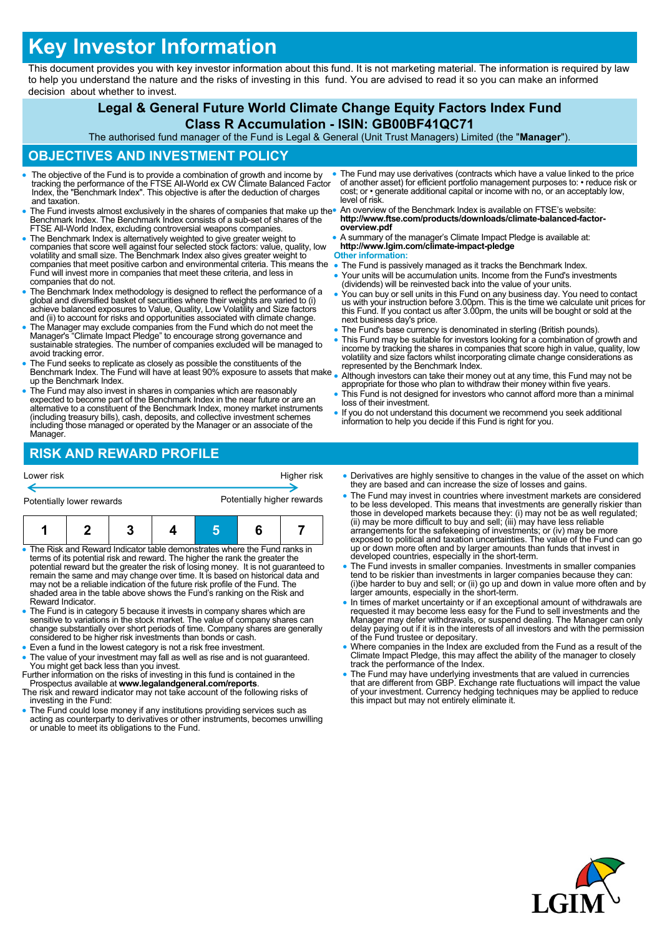# **Key Investor Information**

This document provides you with key investor information about this fund. It is not marketing material. The information is required by law to help you understand the nature and the risks of investing in this fund. You are advised to read it so you can make an informed decision about whether to invest.

### **Legal & General Future World Climate Change Equity Factors Index Fund Class R Accumulation - ISIN: GB00BF41QC71**

The authorised fund manager of the Fund is Legal & General (Unit Trust Managers) Limited (the "**Manager**").

## **OBJECTIVES AND INVESTMENT POLICY**

- The objective of the Fund is to provide a combination of growth and income by tracking the performance of the FTSE All-World ex CW Climate Balanced Factor Index, the "Benchmark Index". This objective is after the deduction of charges and taxation.
- The Fund invests almost exclusively in the shares of companies that make up the Benchmark Index. The Benchmark Index consists of a sub-set of shares of the FTSE All-World Index, excluding controversial weapons companies.
- The Benchmark Index is alternatively weighted to give greater weight to companies that score well against four selected stock factors: value, quality, low volatility and small size. The Benchmark Index also gives greater weight to companies that meet positive carbon and environmental criteria. This means the Fund will invest more in companies that meet these criteria, and less in companies that do not.
- The Benchmark Index methodology is designed to reflect the performance of a global and diversified basket of securities where their weights are varied to (i) achieve balanced exposures to Value, Quality, Low Volatility a
- The Manager may exclude companies from the Fund which do not meet the Manager's "Climate Impact Pledge" to encourage strong governance and sustainable strategies. The number of companies excluded will be managed to avoid tracking error.
- The Fund seeks to replicate as closely as possible the constituents of the Benchmark Index. The Fund will have at least 90% exposure to assets that make up the Benchmark Index.
- The Fund may also invest in shares in companies which are reasonably expected to become part of the Benchmark Index in the near future or are an alternative to a constituent of the Benchmark Index, money market instruments (including treasury bills), cash, deposits, and collective investment schemes including those managed or operated by the Manager or an associate of the Manager.
- The Fund may use derivatives (contracts which have a value linked to the price of another asset) for efficient portfolio management purposes to: • reduce risk or cost; or • generate additional capital or income with no, or an acceptably low, level of risk.
- An overview of the Benchmark Index is available on FTSE's website: **http://www.ftse.com/products/downloads/climate-balanced-factoroverview.pdf**
- A summary of the manager's Climate Impact Pledge is available at: **http://www.lgim.com/climate-impact-pledge**

## **Other information:**<br>• The Fund is passi

- The Fund is passively managed as it tracks the Benchmark Index.
- Your units will be accumulation units. Income from the Fund's investments (dividends) will be reinvested back into the value of your units.
- You can buy or sell units in this Fund on any business day. You need to contact us with your instruction before 3.00pm. This is the time we calculate unit prices for this Fund. If you contact us after 3.00pm, the units will be bought or sold at the next business day's price.
- The Fund's base currency is denominated in sterling (British pounds).
- This Fund may be suitable for investors looking for a combination of growth and income by tracking the shares in companies that score high in value, quality, low volatility and size factors whilst incorporating climate change considerations as represented by the Benchmark Index.
- Although investors can take their money out at any time, this Fund may not be appropriate for those who plan to withdraw their money within five years.
- This Fund is not designed for investors who cannot afford more than a minimal loss of their investment.
- If you do not understand this document we recommend you seek additional information to help you decide if this Fund is right for you.

## **RISK AND REWARD PROFILE**

| Lower risk                | Higher risk                |  |  |
|---------------------------|----------------------------|--|--|
|                           |                            |  |  |
| Potentially lower rewards | Potentially higher rewards |  |  |

- The Risk and Reward Indicator table demonstrates where the Fund ranks in terms of its potential risk and reward. The higher the rank the greater the potential reward but the greater the risk of losing money. It is not guaranteed to<br>remain the same and may change over time. It is based on historical data and<br>may not be a reliable indication of the future risk profile of Reward Indicator.
- The Fund is in category 5 because it invests in company shares which are sensitive to variations in the stock market. The value of company shares can change substantially over short periods of time. Company shares are generally considered to be higher risk investments than bonds or cash.
- Even a fund in the lowest category is not a risk free investment.
- The value of your investment may fall as well as rise and is not guaranteed. You might get back less than you invest. Further information on the risks of investing in this fund is contained in the
- Prospectus available at **www.legalandgeneral.com/reports**. The risk and reward indicator may not take account of the following risks of
- investing in the Fund:
- The Fund could lose money if any institutions providing services such as acting as counterparty to derivatives or other instruments, becomes unwilling or unable to meet its obligations to the Fund.
- Derivatives are highly sensitive to changes in the value of the asset on which they are based and can increase the size of losses and gains.
- The Fund may invest in countries where investment markets are considered to be less developed. This means that investments are generally riskier than<br>those in developed markets because they: (i) may not be as well regulated;<br>(ii) may be more difficult to buy and sell; (iii) may have less reliab exposed to political and taxation uncertainties. The value of the Fund can go up or down more often and by larger amounts than funds that invest in developed countries, especially in the short-term.
- The Fund invests in smaller companies. Investments in smaller companies tend to be riskier than investments in larger companies because they can: (i)be harder to buy and sell; or (ii) go up and down in value more often and by larger amounts, especially in the short-term.
- In times of market uncertainty or if an exceptional amount of withdrawals are requested it may become less easy for the Fund to sell investments and the Manager may defer withdrawals, or suspend dealing. The Manager can only delay paying out if it is in the interests of all investors and with the permission of the Fund trustee or depositary.
- Where companies in the Index are excluded from the Fund as a result of the Climate Impact Pledge, this may affect the ability of the manager to closely track the performance of the Index.
- The Fund may have underlying investments that are valued in currencies that are different from GBP. Exchange rate fluctuations will impact the value of your investment. Currency hedging techniques may be applied to reduce this impact but may not entirely eliminate it.